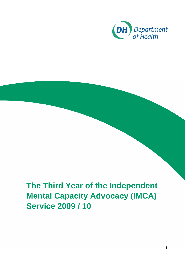

# **The Third Year of the Independent Mental Capacity Advocacy (IMCA) Service 2009 / 10**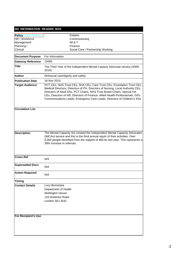#### **DH INFORMATION READER BOX Policy Contract Provide Estates** HR / Workforce Commissioning Management IM & T Planning / Finance Clinical Social Care / Partnership Working **Document Purpose Gateway Reference Title Author Publication Date Target Audience Circulation List Description Cross Ref Superseded Docs Action Required Timing Contact Details** 133 Waterloo Road The Mental Capacity Act created the Independent Mental Capacity Advocates (IMCAs) service and this is the third annual report of their activities. Over 9,000 people benefited from the support of IMCAs last year. This represents a 39% increase in referrals. DH/social care/dignity and safety 18 Nov 2010 PCT CEs, NHS Trust CEs, SHA CEs, Care Trust CEs, Foundation Trust CEs , Medical Directors, Directors of PH, Directors of Nursing, Local Authority CEs, Directors of Adult SSs, PCT Chairs, NHS Trust Board Chairs, Special HA CEs, Directors of HR, Directors of Finance, Allied Health Professionals, GPs, Communications Leads, Emergency Care Leads, Directors of Children's SSs N/A N/A N/A 15060 For Information **For Recipient's Use** The Third Year of the Independent Mental Capaciy Advocate service (2009- 2010) London SE1 8UG Lucy Bonnerjea Department of Health Wellington House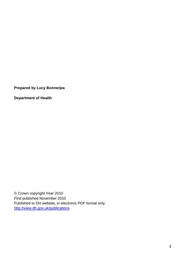**Prepared by Lucy Bonnerjea** 

**Department of Health** 

© Crown copyright Year 2010 First published November 2010 Published to DH website, in electronic PDF format only. <http://www.dh.gov.uk/publications>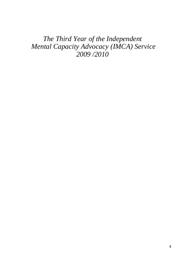# *The Third Year of the Independent Mental Capacity Advocacy (IMCA) Service 2009 /2010*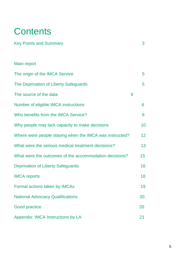# **Contents**

| <b>Key Points and Summary</b>                           |   | 3               |
|---------------------------------------------------------|---|-----------------|
|                                                         |   |                 |
| Main report                                             |   |                 |
| The origin of the IMCA Service                          |   | 5               |
| The Deprivation of Liberty Safeguards                   |   | 5               |
| The source of the data                                  | 6 |                 |
| Number of eligible IMCA instructions                    |   | 6               |
| Who benefits from the IMCA Service?                     |   | 8               |
| Why people may lack capacity to make decisions          |   | 10              |
| Where were people staying when the IMCA was instructed? |   | 12 <sup>°</sup> |
| What were the serious medical treatment decisions?      |   | 13              |
| What were the outcomes of the accommodation decisions?  |   | 15              |
| <b>Deprivation of Liberty Safeguards</b>                |   | 16              |
| <b>IMCA</b> reports                                     |   | 18              |
| Formal actions taken by IMCAs                           |   | 19              |
| <b>National Advocacy Qualifications</b>                 |   | 20              |
| <b>Good practice</b>                                    |   | 20              |
| Appendix: IMCA Instructions by LA                       |   | 21              |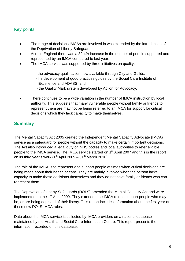# Key points

- The range of decisions IMCAs are involved in was extended by the introduction of the Deprivation of Liberty Safeguards.
- Across England there was a 39.4% increase in the number of people supported and represented by an IMCA compared to last year.
- The IMCA service was supported by three initiatives on quality:

-the advocacy qualification now available through City and Guilds; -the development of good practices guides by the Social Care Institute of Excellence and ADASS; and

- the Quality Mark system developed by Action for Advocacy.
- There continues to be a wide variation in the number of IMCA instruction by local authority. This suggests that many vulnerable people without family or friends to represent them are may not be being referred to an IMCA for support for critical decisions which they lack capacity to make themselves.

# **Summary**

The Mental Capacity Act 2005 created the Independent Mental Capacity Advocate (IMCA) service as a safeguard for people without the capacity to make certain important decisions. The Act also introduced a legal duty on NHS bodies and local authorities to refer eligible people to the IMCA service. The IMCA service started on 1<sup>st</sup> April 2007 and this is the report on its third year's work ( $1<sup>st</sup>$  April 2009 –  $31<sup>st</sup>$  March 2010).

The role of the IMCA is to represent and support people at times when critical decisions are being made about their health or care. They are mainly involved when the person lacks capacity to make these decisions themselves and they do not have family or friends who can represent them.

The Deprivation of Liberty Safeguards (DOLS) amended the Mental Capacity Act and were implemented on the 1<sup>st</sup> April 2009. They extended the IMCA role to support people who may be, or are being deprived of their liberty. This report includes information about the first year of these new DOLS IMCA roles.

Data about the IMCA service is collected by IMCA providers on a national database maintained by the Health and Social Care Information Centre. This report presents the information recorded on this database.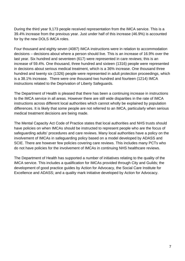During the third year 9,173 people received representation from the IMCA service. This is a 39.4% increase from the previous year. Just under half of this increase (46.9%) is accounted for by the new DOLS IMCA roles.

Four thousand and eighty seven (4087) IMCA instructions were in relation to accommodation decisions – decisions about where a person should live. This is an increase of 16.9% over the last year. Six hundred and seventeen (617) were represented in care reviews; this is an increase of 59.4%. One thousand, three hundred and sixteen (1316) people were represented in decisions about serious medical treatment, which is a 36% increase. One thousand three hundred and twenty six (1326) people were represented in adult protection proceedings, which is a 38.1% increase. There were one thousand two hundred and fourteen (1214) IMCA instructions related to the Deprivation of Liberty Safeguards.

The Department of Health is pleased that there has been a continuing increase in instructions to the IMCA service in all areas. However there are still wide disparities in the rate of IMCA instructions across different local authorities which cannot wholly be explained by population differences. It is likely that some people are not referred to an IMCA, particularly when serious medical treatment decisions are being made.

The Mental Capacity Act Code of Practice states that local authorities and NHS trusts should have policies on when IMCAs should be instructed to represent people who are the focus of safeguarding adults' procedures and care reviews. Many local authorities have a policy on the involvement of IMCAs in safeguarding policy based on a model developed by ADASS and SCIE. There are however few policies covering care reviews. This includes many PCTs who do not have policies for the involvement of IMCAs in continuing NHS healthcare reviews.

The Department of Health has supported a number of initiatives relating to the quality of the IMCA service. This includes a qualification for IMCAs provided through City and Guilds; the development of good practice guides by Action for Advocacy, the Social Care Institute for Excellence and ADASS; and a quality mark initiative developed by Action for Advocacy.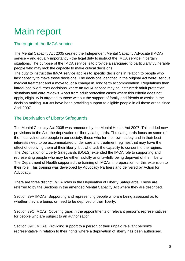# Main report

# The origin of the IMCA service

The Mental Capacity Act 2005 created the Independent Mental Capacity Advocate (IMCA) service – and equally importantly - the legal duty to instruct the IMCA service in certain situations. The purpose of the IMCA service is to provide a safeguard to particularly vulnerable people who may lack the capacity to make critical decisions.

The duty to instruct the IMCA service applies to specific decisions in relation to people who lack capacity to make those decisions. The decisions identified in the original Act were: serious medical treatment and a move to, or a change in, long term accommodation. Regulations then introduced two further decisions where an IMCA service may be instructed: adult protection situations and care reviews. Apart from adult protection cases where this criteria does not apply, eligibility is targeted to those without the support of family and friends to assist in the decision making. IMCAs have been providing support to eligible people in all these areas since April 2007.

# The Deprivation of Liberty Safeguards

The Mental Capacity Act 2005 was amended by the Mental Health Act 2007. This added new provisions to the Act: the deprivation of liberty safeguards. The safeguards focus on some of the most vulnerable people in our society: those who for their own safety and in their best interests need to be accommodated under care and treatment regimes that may have the effect of depriving them of their liberty, but who lack the capacity to consent to the regime. The Deprivation of Liberty Safeguards (DOLS) extended the IMCA role to supporting and representing people who may be either lawfully or unlawfully being deprived of their liberty. The Department of Health supported the training of IMCAs in preparation for this extension to their role. This training was developed by Advocacy Partners and delivered by Action for Advocacy.

There are three distinct IMCA roles in the Deprivation of Liberty Safeguards. These are referred to by the Sections in the amended Mental Capacity Act where they are described.

Section 39A IMCAs: Supporting and representing people who are being assessed as to whether they are being, or need to be deprived of their liberty.

Section 39C IMCAs: Covering gaps in the appointments of relevant person's representatives for people who are subject to an authorisation.

Section 39D IMCAs: Providing support to a person or their unpaid relevant person's representative in relation to their rights where a deprivation of liberty has been authorised.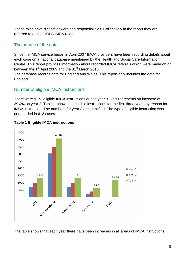These roles have distinct powers and responsibilities. Collectively in the report they are referred to as the DOLS IMCA roles.

# The source of the data

Since the IMCA service began in April 2007 IMCA providers have been recording details about each case on a national database maintained by the Health and Social Care Information Centre. This report provides information about recorded IMCA referrals which were made on or between the  $1<sup>st</sup>$  April 2009 and the 31<sup>st</sup> March 2010.

The database records data for England and Wales. This report only includes the data for England.

# Number of eligible IMCA instructions

There were 9173 eligible IMCA instructions during year 3. This represents an increase of 39.4% on year 2. Table 1 shows the eligible instructions for the first three years by reason for IMCA instruction. The numbers for year 3 are identified. The type of eligible instruction was unrecorded in 613 cases.



#### **Table 1 Eligible IMCA instructions**

The table shows that each year there have been increases in all areas of IMCA instructions.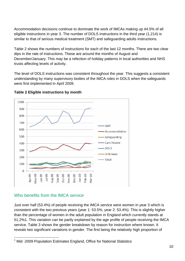Accommodation decisions continue to dominate the work of IMCAs making up 44.5% of all eligible instructions in year 3. The number of DOLS instructions in the third year (1,214) is similar to that of serious medical treatment (SMT) and safeguarding adults instructions.

Table 2 shows the numbers of instructions for each of the last 12 months. There are two clear dips in the rate of instructions. These are around the months of August and December/January. This may be a refection of holiday patterns in local authorities and NHS trusts affecting levels of activity.

The level of DOLS instructions was consistent throughout the year. This suggests a consistent understanding by many supervisory bodies of the IMCA roles in DOLS when the safeguards were first implemented in April 2009.



#### **Table 2 Eligible instructions by month**

#### Who benefits from the IMCA service

Just over half (53.4%) of people receiving the IMCA service were women in year 3 which is consistent with the two previous years (year 1: 53.5%, year 2: 53.4%). This is slightly higher than the percentage of women in the adult population in England which currently stands at 51.2[%1.](#page-10-0) This variation can be partly explained by the age profile of people receiving the IMCA service. Table 3 shows the gender breakdown by reason for instruction where known. It reveals two significant variations in gender. The first being the relatively high proportion of

<span id="page-10-0"></span>\_\_\_\_\_\_\_\_\_\_\_\_\_\_\_\_\_\_\_\_\_\_\_\_\_\_\_\_\_\_\_\_\_\_<br><sup>1</sup> Mid -2009 Population Estimates England, Office for National Statistics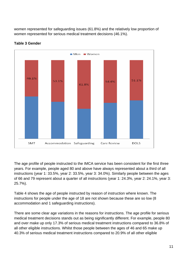women represented for safeguarding issues (61.8%) and the relatively low proportion of women represented for serious medical treatment decisions (46.1%).



#### **Table 3 Gender**

The age profile of people instructed to the IMCA service has been consistent for the first three years. For example, people aged 80 and above have always represented about a third of all instructions (year 1: 33.5%, year 2: 33.5%, year 3: 34.0%). Similarly people between the ages of 66 and 79 represent about a quarter of all instructions (year 1: 24.3%, year 2: 24.1%, year 3: 25.7%).

Table 4 shows the age of people instructed by reason of instruction where known. The instructions for people under the age of 18 are not shown because these are so low (8 accommodation and 1 safeguarding instructions).

There are some clear age variations in the reasons for instructions. The age profile for serious medical treatment decisions stands out as being significantly different. For example, people 80 and over make up only 17.3% of serious medical treatment instructions compared to 36.8% of all other eligible instructions. Whilst those people between the ages of 46 and 65 make up 40.3% of serious medical treatment instructions compared to 20.9% of all other eligible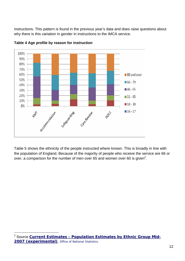instructions. This pattern is found in the previous year's data and does raise questions about why there is this variation in gender in instructions to the IMCA service.



**Table 4 Age profile by reason for instruction** 

Table 5 shows the ethnicity of the people instructed where known. This is broadly in line with the population of England. Because of the majority of people who receive the service are 66 or over, a comparison for the number of men over 65 and women over 60 is given<sup>[2](#page-12-0)</sup>.

<span id="page-12-0"></span> <sup>2</sup> Source **[Current Estimates - Population Estimates by Ethnic Group Mid-](http://www.statistics.gov.uk/downloads/theme_population/Tables_EE1-EE6_2007.xls)[2007 \(experimental\)](http://www.statistics.gov.uk/downloads/theme_population/Tables_EE1-EE6_2007.xls)**, Office of National Statistics.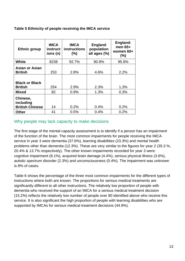| Table 5 Ethnicity of people receiving the IMCA service |  |  |  |  |
|--------------------------------------------------------|--|--|--|--|
|                                                        |  |  |  |  |

| <b>Ethnic group</b>                             | <b>IMCA</b><br>instruct<br>ions (n) | <b>IMCA</b><br><b>instructions</b><br>(%) | <b>England</b><br>population<br>all ages (%) | England:<br>men $65+$<br>women $60+$<br>(%) |
|-------------------------------------------------|-------------------------------------|-------------------------------------------|----------------------------------------------|---------------------------------------------|
| <b>White</b>                                    | 8238                                | 92.7%                                     | 90.9%                                        | 95.9%                                       |
| <b>Asian or Asian</b><br><b>British</b>         | 253                                 | 2.8%                                      | 4.6%                                         | 2.2%                                        |
| <b>Black or Black</b><br><b>British</b>         | 254                                 | 2.9%                                      | 2.3%                                         | 1.3%                                        |
| <b>Mixed</b>                                    | 82                                  | 0.9%                                      | 1.3%                                         | 0.3%                                        |
| Chinese,<br>including<br><b>British Chinese</b> | 14                                  | 0.2%                                      | 0.4%                                         | 0.2%                                        |
| <b>Other</b>                                    | 41                                  | 0.5%                                      | 0.4%                                         | 0.2%                                        |

### Why people may lack capacity to make decisions

The first stage of the mental capacity assessment is to identify if a person has an impairment of the function of the brain. The most common impairments for people receiving the IMCA service in year 3 were dementia (37.6%), learning disabilities (23.3%) and mental health problems other than dementia (12.3%). These are very similar to the figures for year 2 (35.3 %, 20.4% & 13.7% respectively). The other known impairments recorded for year 3 were: cognitive impairment (8.1%), acquired brain damage (4.4%), serious physical illness (3.6%), autistic spectrum disorder (2.3%) and unconsciousness (0.4%). The impairment was unknown is 8% of cases.

Table 6 shows the percentage of the three most common impairments for the different types of instructions where both are known. The proportions for serious medical treatments are significantly different to all other instructions. The relatively low proportion of people with dementia who received the support of an IMCA for a serious medical treatment decision (15.2%) reflects the relatively low number of people over 80 identified above who receive this service. It is also significant the high proportion of people with learning disabilities who are supported by IMCAs for serious medical treatment decisions (44.9%).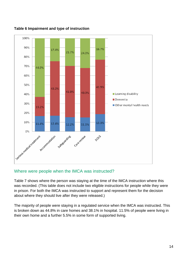

**Table 6 Impairment and type of instruction** 

#### Where were people when the IMCA was instructed?

Table 7 shows where the person was staying at the time of the IMCA instruction where this was recorded. (This table does not include two eligible instructions for people while they were in prison. For both the IMCA was instructed to support and represent them for the decision about where they should live after they were released.)

The majority of people were staying in a regulated service when the IMCA was instructed. This is broken down as 44.8% in care homes and 38.1% in hospital. 11.5% of people were living in their own home and a further 5.5% in some form of supported living.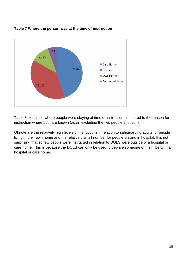

**Table 7 Where the person was at the time of instruction** 

Table 8 examines where people were staying at time of instruction compared to the reason for instruction where both are known (again excluding the two people in prison).

Of note are the relatively high levels of instructions in relation to safeguarding adults for people living in their own home and the relatively small number for people staying in hospital. It is not surprising that so few people were instructed in relation to DOLS were outside of a hospital or care home. This is because the DOLS can only be used to deprive someone of their liberty in a hospital or care home.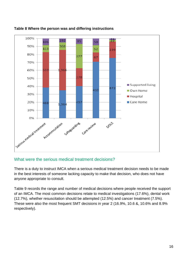

#### **Table 8 Where the person was and differing instructions**

#### What were the serious medical treatment decisions?

There is a duty to instruct IMCA when a serious medical treatment decision needs to be made in the best interests of someone lacking capacity to make that decision, who does not have anyone appropriate to consult.

Table 9 records the range and number of medical decisions where people received the support of an IMCA. The most common decisions relate to medical investigations (17.6%), dental work (12.7%), whether resuscitation should be attempted (12.5%) and cancer treatment (7.5%). These were also the most frequent SMT decisions in year 2 (16.9%, 10.6 &, 10.6% and 8.9% respectively).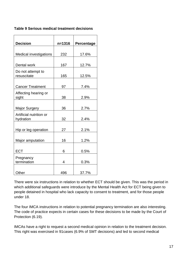#### **Table 9 Serious medical treatment decisions**

| <b>Decision</b>                      | $n = 1316$ | Percentage |
|--------------------------------------|------------|------------|
| <b>Medical investigations</b>        | 232        | 17.6%      |
| Dental work                          | 167        | 12.7%      |
| Do not attempt to<br>resuscitate     | 165        | 12.5%      |
| <b>Cancer Treatment</b>              | 97         | 7.4%       |
| Affecting hearing or<br>sight        | 38         | 2.9%       |
| Major Surgery                        | 36         | 2.7%       |
| Artificial nutrition or<br>hydration | 32         | 2.4%       |
| Hip or leg operation                 | 27         | 2.1%       |
| Major amputation                     | 16         | 1.2%       |
| <b>ECT</b>                           | 6          | 0.5%       |
| Pregnancy<br>termination             | 4          | 0.3%       |
| Other                                | 496        | 37.7%      |

There were six instructions in relation to whether ECT should be given. This was the period in which additional safeguards were introduce by the Mental Health Act for ECT being given to people detained in hospital who lack capacity to consent to treatment, and for those people under 18.

The four IMCA instructions in relation to potential pregnancy termination are also interesting. The code of practice expects in certain cases for these decisions to be made by the Court of Protection (6.19).

IMCAs have a right to request a second medical opinion in relation to the treatment decision. This right was exercised in 91cases (6.9% of SMT decisions) and led to second medical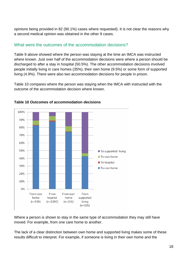opinions being provided in 82 (90.1%) cases where requested). It is not clear the reasons why a second medical opinion was obtained in the other 9 cases.

# What were the outcomes of the accommodation decisions?

Table 9 above showed where the person was staying at the time an IMCA was instructed where known. Just over half of the accommodation decisions were where a person should be discharged to after a stay in hospital (50.5%). The other accommodation decisions involved people initially living in care homes (35%), their own home (9.5%) or some form of supported living (4.9%). There were also two accommodation decisions for people in prison.

Table 10 compares where the person was staying when the IMCA with instructed with the outcome of the accommodation decision where known.



#### **Table 10 Outcomes of accommodation decisions**

Where a person is shown to stay in the same type of accommodation they may still have moved. For example, from one care home to another.

The lack of a clear distinction between own home and supported living makes some of these results difficult to interpret. For example, if someone is living in their own home and the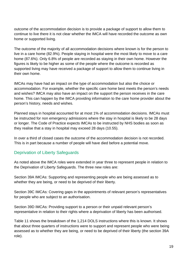outcome of the accommodation decision is to provide a package of support to allow them to continue to live there it is not clear whether the IMCA will have recorded the outcome as own home or supported living.

The outcome of the majority of all accommodation decisions where known is for the person to live in a care home (82.9%). People staying in hospital were the most likely to move to a care home (87.6%). Only 6.8% of people are recorded as staying in their own home. However the figures is likely to be higher as some of the people where the outcome is recorded as supported living may have received a package of support to allow them to continue living in their own home.

IMCAs may have had an impact on the type of accommodation but also the choice or accommodation. For example, whether the specific care home best meets the person's needs and wishes? IMCA may also have an impact on the support the person receives in the care home. This can happen by the IMCA providing information to the care home provider about the person's history, needs and wishes.

Planned stays in hospital accounted for at most 1% of accommodation decisions. IMCAs must be instructed for non emergency admissions where the stay in hospital is likely to be 28 days or longer. The Code of Practice expects IMCAs to be instructed by NHS bodies as soon as they realise that a stay in hospital may exceed 28 days (10.55).

In over a third of closed cases the outcome of the accommodation decision is not recorded. This is in part because a number of people will have died before a potential move.

# Deprivation of Liberty Safeguards

As noted above the IMCA roles were extended in year three to represent people in relation to the Deprivation of Liberty Safeguards. The three new roles are:

Section 39A IMCAs: Supporting and representing people who are being assessed as to whether they are being, or need to be deprived of their liberty.

Section 39C IMCAs: Covering gaps in the appointments of relevant person's representatives for people who are subject to an authorisation.

Section 39D IMCAs: Providing support to a person or their unpaid relevant person's representative in relation to their rights where a deprivation of liberty has been authorised.

Table 11 shows the breakdown of the 1,214 DOLS instructions where this is known. It shows that about three quarters of instructions were to support and represent people who were being assessed as to whether they are being, or need to be deprived of their liberty (the section 39A role).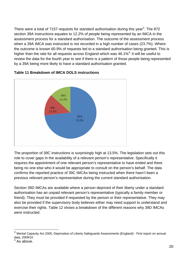There were a total of 7157 requests for standard authorisation during this year<sup>[3](#page-20-0)</sup>. The 872 section 39A instructions equates to 12.2% of people being represented by an IMCA in the assessment process for a standard authorisation. The outcome of the assessment process when a 39A IMCA was instructed is not recorded in a high number of cases (23.7%). Where the outcome is known 60.9% of requests led to a standard authorisation being granted. This is higher than the rate for all requests across England which was  $46.1\%$ <sup>[4.](#page-20-1)</sup> It will be useful to review the data for the fourth year to see if there is a pattern of those people being represented by a 39A being more likely to have a standard authorisation granted.



#### **Table 11 Breakdown of IMCA DOLS instructions**

The proportion of 39C instructions is surprisingly high at 13.5%. The legislation sets out this role to cover gaps in the availability of a relevant person's representative. Specifically it requires the appointment of one relevant person's representative to have ended and there being no one else who it would be appropriate to consult on the person's behalf. The data confirms the reported practice of 39C IMCAs being instructed when there hasn't been a previous relevant person's representative during the current standard authorisation.

Section 39D IMCAs are available where a person deprived of their liberty under a standard authorisation has an unpaid relevant person's representative (typically a family member or friend). They must be provided if requested by the person or their representative. They may also be provided if the supervisory body believes either may need support to understand and exercise their rights. Table 12 shows a breakdown of the different reasons why 39D IMCAs were instructed.

<span id="page-20-0"></span><sup>&</sup>lt;sup>3</sup> Mental Capacity Act 2005, Deprivation of Liberty Safeguards Assessments (England) - First report on annual data, 2009/10 4

<span id="page-20-1"></span>As above.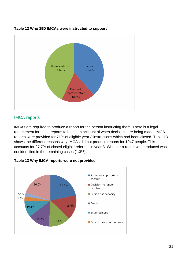

#### **Table 12 Who 39D IMCAs were instructed to support**

### IMCA reports

IMCAs are required to produce a report for the person instructing them. There is a legal requirement for these reports to be taken account of when decisions are being made. IMCA reports were provided for 71% of eligible year 3 instructions which had been closed. Table 13 shows the different reasons why IMCAs did not produce reports for 1947 people. This accounts for 27.7% of closed eligible referrals in year 3. Whether a report was produced was not identified in the remaining cases (1.3%).



#### **Table 13 Why IMCA reports were not provided**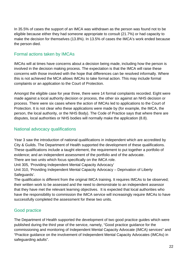In 35.5% of cases the support of an IMCA was withdrawn as the person was found not to be eligible because either they had someone appropriate to consult (21.7%) or had capacity to make the decision for themselves (13.8%). In 13.5% of cases the IMCA's work ended because the person died.

# Formal actions taken by IMCAs

IMCAs will at times have concerns about a decision being made, including how the person is involved in the decision making process. The expectation is that the IMCA will raise these concerns with those involved with the hope that differences can be resolved informally. Where this is not achieved the MCA allows IMCAs to take formal action. This may include formal complaints or an application to the Court of Protection.

Amongst the eligible case for year three, there were 14 formal complaints recorded. Eight were made against a local authority decision or process, the other six against an NHS decision or process. There were six cases where the action of IMCAs led to applications to the Court of Protection. It is not clear who these applications were made by (for example, the IMCA, the person, the local authority, or the NHS Body). The Code of Practice says that where there are disputes, local authorities or NHS bodies will normally make the application (8.8).

### National advocacy qualifications

Year 3 saw the introduction of national qualifications in independent which are accredited by City & Guilds. The Department of Health supported the development of these qualifications. These qualifications include a taught element, the requirement to put together a portfolio of evidence; and an independent assessment of the portfolio and of the advocate.

There are two units which focus specifically on the IMCA role.

Unit 305, 'Providing Independent Mental Capacity Advocacy'

Unit 310, 'Providing Independent Mental Capacity Advocacy – Deprivation of Liberty Safeguards'.

The qualification is different from the original IMCA training. It requires IMCAs to be observed; their written work to be assessed and the need to demonstrate to an independent assessor that they have met the relevant learning objectives. It is expected that local authorities who have the responsibility to commission the IMCA service will increasingly require IMCAs to have successfully completed the assessment for these two units.

# Good practice

The Department of Health supported the development of two good practice guides which were published during the third year of the service, namely, "Good practice guidance for the commissioning and monitoring of Independent Mental Capacity Advocate (IMCA) services" and "Practice guidance on the involvement of Independent Mental Capacity Advocates (IMCAs) in safeguarding adults".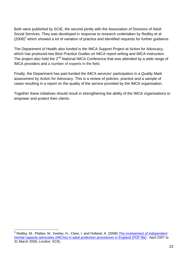Both were published by SCIE, the second jointly with the Association of Directors of Adult Social Services. They was developed in response to research undertaken by Redley et al  $(2008)^5$  $(2008)^5$  which showed a lot of variation of practice and identified requests for further guidance.

The Department of Health also funded is the IMCA Support Project at Action for Advocacy, which has produced two Best Practice Guides on IMCA report writing and IMCA instruction. The project also held the  $2^{nd}$  National IMCA Conference that was attended by a wide range of IMCA providers and a number of experts in the field.

Finally, the Department has part-funded the IMCA services' participation in a Quality Mark assessment by Action for Advocacy. This is a review of policies, practice and a sample of cases resulting in a report on the quality of the service provided by the IMCA organisation.

Together these initiatives should result in strengthening the ability of the IMCA organisations to empower and protect their clients.

<span id="page-23-0"></span><sup>&</sup>lt;sup>5</sup> Redley, M., Platten, M., Keeley, H., Clare, I. and Holland, A. (2008) The involvement of independent [mental capacity advocates \(IMCAs\) in adult protection procedures in England \(PDF file\):](http://www.scie.org.uk/publications/mca/files/cambridge_report.pdf) April 2007 to 31 March 2008, London: SCIE,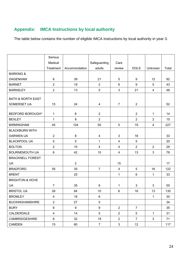# **Appendix: IMCA Instructions by local authority**

The table below contains the number of eligible IMCA instructions by local authority in year 3.

|                              | Serious        |                |                  |                |                 |                |       |
|------------------------------|----------------|----------------|------------------|----------------|-----------------|----------------|-------|
|                              | Medical        |                | Safeguarding     | Care           |                 |                |       |
|                              | Treatment      | Accommodation  | adults           | review         | <b>DOLS</b>     | Unknown        | Total |
| <b>BARKING &amp;</b>         |                |                |                  |                |                 |                |       |
| <b>DAGENHAM</b>              | $6\phantom{a}$ | 39             | 21               | 5              | 9               | 12             | 92    |
| <b>BARNET</b>                | $\overline{2}$ | 19             | $\overline{2}$   | 6              | 9               | 5              | 43    |
| <b>BARNSLEY</b>              | $\overline{2}$ | 13             | 5                | $\mathbf{3}$   | 21              | $\overline{4}$ | 48    |
|                              |                |                |                  |                |                 |                |       |
| <b>BATH &amp; NORTH EAST</b> |                |                |                  |                |                 |                |       |
| SOMERSET UA                  | 15             | 24             | $\overline{4}$   | $\overline{7}$ | $\overline{2}$  |                | 52    |
| <b>BEDFORD BOROUGH*</b>      | $\mathbf{1}$   | 8              | $\overline{2}$   |                | $\overline{2}$  | 1              | 14    |
| <b>BEXLEY</b>                | $\mathbf{1}$   | 8              | $\overline{2}$   |                | $\overline{2}$  | $\overline{2}$ | 15    |
| <b>BIRMINGHAM</b>            | 45             | 104            | 50               | $\overline{5}$ | 19              | $\overline{4}$ | 227   |
| <b>BLACKBURN WITH</b>        |                |                |                  |                |                 |                |       |
| <b>DARWEN UA</b>             | $\overline{2}$ | 8              | $\overline{4}$   | 3              | 16              |                | 33    |
| <b>BLACKPOOL UA</b>          | 5              | 5              | $\mathbf 1$      | $\overline{4}$ | 5               |                | 20    |
| <b>BOLTON</b>                | $\overline{2}$ | 15             | $\overline{4}$   | $\overline{4}$ | $\overline{2}$  | $\overline{2}$ | 29    |
| <b>BOURNEMOUTH UA</b>        | $6\phantom{a}$ | 42             | 10               | $\overline{4}$ | 13              | 3              | 78    |
| <b>BRACKNELL FOREST</b>      |                |                |                  |                |                 |                |       |
| <b>UA</b>                    |                | $\overline{2}$ |                  | 15             |                 |                | 17    |
| <b>BRADFORD</b>              | 55             | 35             | $\overline{7}$   | $\overline{4}$ | $5\phantom{.0}$ | 16             | 122   |
| <b>BRENT</b>                 |                | 25             |                  | $\mathbf 1$    | $\,6\,$         | $\mathbf{1}$   | 33    |
| <b>BRIGHTON &amp; HOVE</b>   |                |                |                  |                |                 |                |       |
| <b>UA</b>                    | $\overline{7}$ | 35             | 6                | $\mathbf 1$    | 3               | 3              | 55    |
| <b>BRISTOL UA</b>            | 26             | 64             | 10               | 6              | 16              | 13             | 135   |
| <b>BROMLEY</b>               | $\overline{4}$ | 19             | 6                |                |                 | $\mathbf 1$    | 30    |
| <b>BUCKINGHAMSHIRE</b>       | $\overline{2}$ | 27             | 5                |                |                 |                | 34    |
| <b>BURY</b>                  | 8              | 9              | $\boldsymbol{9}$ | $\overline{2}$ | $\overline{7}$  |                | 35    |
| CALDERDALE                   | $\overline{4}$ | 14             | 5                | $\overline{2}$ | 5               | $\mathbf{1}$   | 31    |
| <b>CAMBRIDGESHIRE</b>        | 8              | 32             | 19               | $\overline{2}$ | $\overline{7}$  | 3              | 71    |
| <b>CAMDEN</b>                | 15             | 80             | $\overline{7}$   | $\mathbf{3}$   | 12              |                | 117   |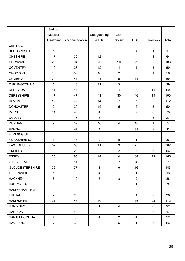|                          | Serious          |               |                  |                         |                 |                |       |
|--------------------------|------------------|---------------|------------------|-------------------------|-----------------|----------------|-------|
|                          | Medical          |               | Safeguarding     | Care                    |                 |                |       |
|                          | Treatment        | Accommodation | adults           | review                  | <b>DOLS</b>     | Unknown        | Total |
| <b>CENTRAL</b>           |                  |               |                  |                         |                 |                |       |
| <b>BEDFORDSHIRE *</b>    | $\mathbf{1}$     | 8             | $\mathbf{3}$     |                         | $\overline{4}$  | $\mathbf{1}$   | 17    |
| <b>CHESHIRE</b>          | 17               | 30            | 12               | $\mathbf{1}$            |                 | $\overline{4}$ | 64    |
| <b>CORNWALL</b>          | 23               | 94            | 23               | 20                      | 22              | 6              | 188   |
| <b>COVENTRY</b>          | 10               | 26            | 12               | 4                       | 4               | 3              | 59    |
| <b>CROYDON</b>           | 10               | 30            | 10               | $\overline{2}$          | 3               | $\mathbf{1}$   | 56    |
| <b>CUMBRIA</b>           | 20               | 41            | 24               | 5                       | 14              |                | 104   |
| <b>DARLINGTON UA</b>     | $\sqrt{5}$       | 10            | 11               | $\mathbf{3}$            |                 |                | 29    |
| <b>DERBY UA</b>          | 11               | 17            | 8                | $\overline{4}$          | 6               | 14             | 60    |
| <b>DERBYSHIRE</b>        | 17               | 47            | 41               | 30                      | 46              | 18             | 199   |
| <b>DEVON</b>             | 12               | 72            | 14               | $\overline{7}$          | $\overline{7}$  |                | 112   |
| <b>DONCASTER</b>         | $\overline{2}$   | 20            | 15               | 5                       | $6\phantom{a}$  | $\overline{2}$ | 50    |
| <b>DORSET</b>            | 14               | 45            | $\overline{4}$   | $\mathbf{1}$            | 9               | $6\phantom{1}$ | 79    |
| <b>DUDLEY</b>            | $\mathbf{1}$     | 15            | 8                |                         |                 | 3              | 27    |
| <b>DURHAM</b>            | $\boldsymbol{9}$ | 32            | 10               | 4                       | 18              | $\mathbf{1}$   | 74    |
| <b>EALING</b>            | $\mathbf{1}$     | 21            | $\,6\,$          |                         | 14              | $\overline{2}$ | 44    |
| E. RIDING OF             |                  |               |                  |                         |                 |                |       |
| YORKSHIRE UA             | 3                | 18            | $\boldsymbol{9}$ | 5                       | $\mathbf 1$     |                | 36    |
| <b>EAST SUSSEX</b>       | 32               | 88            | 41               | $\boldsymbol{9}$        | 27              | 5              | 202   |
| <b>ENFIELD</b>           | $\mathbf{3}$     | 29            | 8                | $\overline{2}$          | $6\phantom{a}$  | 8              | 56    |
| <b>ESSEX</b>             | 25               | 65            | 24               | $\overline{\mathbf{4}}$ | 34              | 13             | 165   |
| <b>GATESHEAD</b>         | $\mathbf 1$      | 11            | $\mathfrak{S}$   | $\overline{2}$          | $\overline{4}$  |                | 21    |
| <b>GLOUCESTERSHIRE</b>   | 36               | 77            | 8                | 6                       | 16              |                | 143   |
| <b>GREENWICH</b>         | $\mathbf{1}$     | 5             | $\overline{4}$   |                         | $\mathbf{1}$    | $\overline{2}$ | 13    |
| <b>HACKNEY</b>           | 6                | 19            | 8                | $\mathbf{3}$            | $\overline{2}$  |                | 38    |
| <b>HALTON UA</b>         |                  | $\mathbf{3}$  | $5\phantom{.0}$  |                         | $\mathbf{1}$    |                | 9     |
| <b>HAMMERSMITH &amp;</b> |                  |               |                  |                         |                 |                |       |
| <b>FULHAM</b>            | $\overline{2}$   | 25            | 3                |                         | $\overline{4}$  | $\overline{2}$ | 36    |
| <b>HAMPSHIRE</b>         | 21               | 43            | 10 <sup>1</sup>  |                         | 15              | 23             | 112   |
| <b>HARINGEY</b>          |                  | 6             | $\mathbf{1}$     | $\overline{4}$          | $5\overline{)}$ | 6              | 22    |
| <b>HARROW</b>            | $\overline{2}$   | 10            | $\overline{2}$   |                         |                 | 3              | 17    |
| HARTLEPOOL UA            | $\overline{4}$   | 8             | $\overline{4}$   | $\overline{2}$          | $\overline{4}$  |                | 22    |
| <b>HAVERING</b>          | $\overline{7}$   | 39            | $\boldsymbol{9}$ | $5\overline{)}$         | $\mathbf{1}$    | 5              | 66    |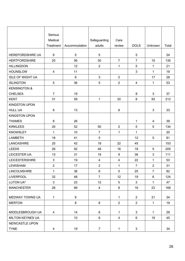|                         | Serious                 |                  |                |                  |                |                |       |
|-------------------------|-------------------------|------------------|----------------|------------------|----------------|----------------|-------|
|                         | Medical                 |                  | Safeguarding   | Care             |                |                |       |
|                         | Treatment               | Accommodation    | adults         | review           | <b>DOLS</b>    | Unknown        | Total |
|                         |                         |                  |                |                  |                |                |       |
| HEREFORDSHIRE UA        | 9                       | $\overline{5}$   | 5              |                  | 5              |                | 24    |
| <b>HERTFORDSHIRE</b>    | 20                      | 56               | 30             | $\overline{7}$   | $\overline{7}$ | 15             | 135   |
| <b>HILLINGDON</b>       |                         | 12               | $\overline{2}$ | $\mathbf 1$      | 5              | 1              | 21    |
| <b>HOUNSLOW</b>         | $\overline{4}$          | 11               |                |                  | $\mathbf{3}$   | $\mathbf{1}$   | 19    |
| <b>ISLE OF WIGHT UA</b> |                         | $\,6\,$          | $\mathbf{3}$   | $\overline{2}$   |                | 17             | 28    |
| <b>ISLINGTON</b>        | 5                       | 36               | $\overline{5}$ | $\overline{2}$   | $\overline{4}$ | $\mathbf{1}$   | 53    |
| <b>KENSINGTON &amp;</b> |                         |                  |                |                  |                |                |       |
| <b>CHELSEA</b>          | $\overline{7}$          | 19               |                |                  | 8              | 3              | 37    |
| <b>KENT</b>             | 31                      | 59               | $\mathbf 1$    | 20               | 8              | 93             | 212   |
| <b>KINGSTON UPON</b>    |                         |                  |                |                  |                |                |       |
| <b>HULL UA</b>          | 8                       | 13               |                | $\boldsymbol{9}$ |                | $\mathbf{3}$   | 33    |
| <b>KINGSTON UPON</b>    |                         |                  |                |                  |                |                |       |
| <b>THAMES</b>           | 8                       | 26               |                |                  | $\mathbf{1}$   | $\overline{4}$ | 39    |
| <b>KIRKLEES</b>         | 20                      | 52               | 50             | $\overline{2}$   | 5              | 5              | 134   |
| <b>KNOWSLEY</b>         | $\mathbf{1}$            | 10               | $\overline{7}$ | $\mathbf{1}$     | $\mathbf{1}$   |                | 20    |
| <b>LAMBETH</b>          | 18                      | 41               | 5              |                  | 12             | 5              | 81    |
| <b>LANCASHIRE</b>       | 25                      | 42               | 19             | 22               | 45             |                | 153   |
| <b>LEEDS</b>            | 26                      | 92               | 48             | 16               | 18             | 5              | 205   |
| LEICESTER UA            | 13                      | 31               | 19             | $9\,$            | 36             | $\mathbf{3}$   | 111   |
| <b>LEICESTERSHIRE</b>   | $\mathbf{3}$            | 19               | $\overline{4}$ | $\overline{4}$   | 22             | $\mathbf 1$    | 53    |
| <b>LEWISHAM</b>         | $\overline{2}$          | 17               | $\overline{2}$ | $\mathbf{1}$     | $\overline{7}$ | $\overline{2}$ | 31    |
| <b>LINCOLNSHIRE</b>     | 1                       | 38               | 6              | 5                | 25             | $\overline{7}$ | 82    |
| <b>LIVERPOOL</b>        | 32                      | 48               | $\overline{7}$ | 12               | 19             | $\,6\,$        | 124   |
| LUTON UA*               | 3                       | 23               | 12             | $5\phantom{.0}$  | 3              | $\mathbf{1}$   | 47    |
| <b>MANCHESTER</b>       | 28                      | 89               | $\overline{4}$ | 8                | 16             | 23             | 168   |
| MEDWAY TOWNS UA         | $\mathbf{1}$            | $\boldsymbol{9}$ |                | $\mathbf{1}$     | $\overline{2}$ | 21             | 34    |
| <b>MERTON</b>           |                         | $\bf 8$          | $\,6\,$        | $\overline{2}$   | $\overline{2}$ | $\mathbf 1$    | 19    |
|                         |                         | 14               | 6              |                  | 3              |                | 29    |
| MIDDLESBROUGH UA        | $\overline{4}$          |                  | 6              | $\mathbf{1}$     |                | $\mathbf{1}$   |       |
| <b>MILTON KEYNES UA</b> |                         | 10               |                | $\overline{4}$   | 6              | 19             | 45    |
| NEWCASTLE UPON          |                         |                  |                |                  |                |                |       |
| <b>TYNE</b>             | $\overline{\mathbf{4}}$ | 19               | $\overline{7}$ | $\mathbf{1}$     | $\mathbf{3}$   |                | 34    |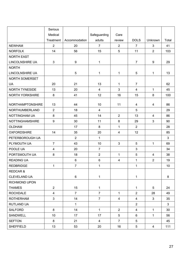|                         | Serious        |                |                |                |                         |                |              |
|-------------------------|----------------|----------------|----------------|----------------|-------------------------|----------------|--------------|
|                         | Medical        |                | Safeguarding   | Care           |                         |                |              |
|                         | Treatment      | Accommodation  | adults         | review         | <b>DOLS</b>             | Unknown        | Total        |
| <b>NEWHAM</b>           | $\overline{2}$ | 20             | $\overline{7}$ | $\overline{2}$ | $\overline{7}$          | 3              | 41           |
| <b>NORFOLK</b>          | 14             | 56             | 15             | 5              | 11                      | $\overline{2}$ | 103          |
| <b>NORTH EAST</b>       |                |                |                |                |                         |                |              |
| LINCOLNSHIRE UA         | 3              | 9              | 1              |                | $\overline{7}$          | 9              | 29           |
| <b>NORTH</b>            |                |                |                |                |                         |                |              |
| LINCOLNSHIRE UA         |                | $\overline{5}$ | 1              | $\mathbf{1}$   | 5                       | 1              | 13           |
| NORTH SOMERSET          |                |                |                |                |                         |                |              |
| <b>UA</b>               | 20             | 21             | 13             | $\mathbf{1}$   | $\overline{7}$          |                | 62           |
| <b>NORTH TYNESIDE</b>   | 13             | 20             | $\overline{4}$ | $\mathbf{3}$   | $\overline{\mathbf{4}}$ | $\mathbf{1}$   | 45           |
| <b>NORTH YORKSHIRE</b>  | 8              | 41             | 12             | 16             | 15                      | 8              | 100          |
|                         |                |                |                |                |                         |                |              |
| <b>NORTHAMPTONSHIRE</b> | 13             | 44             | 10             | 11             | 4                       | 4              | 86           |
| <b>NORTHUMBERLAND</b>   | $\overline{2}$ | 18             | $\overline{4}$ |                | 5                       |                | 29           |
| NOTTINGHAM UA           | 8              | 45             | 14             | $\overline{2}$ | 13                      | $\overline{4}$ | 86           |
| <b>NOTTINGHAMSHIRE</b>  | 9              | 30             | 11             | 8              | 29                      | 3              | 90           |
| <b>OLDHAM</b>           |                | 17             | 8              | $\mathbf{1}$   | $\overline{2}$          |                | 28           |
| <b>OXFORDSHIRE</b>      | 14             | 35             | 20             | $\overline{4}$ | 12                      |                | 85           |
| PETERBOROUGH UA         |                | $\overline{2}$ | $\mathbf 1$    |                |                         |                | $\mathbf{3}$ |
| PLYMOUTH UA             | $\overline{7}$ | 43             | 10             | 3              | 5                       | $\mathbf{1}$   | 69           |
| POOLE UA                | $\overline{4}$ | 20             | $\overline{7}$ |                | 3                       |                | 34           |
| PORTSMOUTH UA           | 8              | 18             | $\overline{2}$ | $\mathbf{1}$   | 5                       | $\overline{4}$ | 38           |
| <b>READING UA</b>       |                | 6              | $\,6\,$        | $\overline{4}$ | $\mathbf 1$             | $\overline{2}$ | 19           |
| <b>REDBRIDGE</b>        | $\mathbf{1}$   | $\overline{7}$ | 1              |                | $\mathbf{1}$            |                | 10           |
| REDCAR &                |                |                |                |                |                         |                |              |
| CLEVELAND UA            |                | 6              | $\mathbf{1}$   |                | $\mathbf 1$             |                | 8            |
| <b>RICHMOND UPON</b>    |                |                |                |                |                         |                |              |
| <b>THAMES</b>           | $\overline{2}$ | 15             | $\mathbf{1}$   |                | $\mathbf{1}$            | 5              | 24           |
| <b>ROCHDALE</b>         | $\overline{4}$ | $\overline{7}$ | $\overline{7}$ | $\mathbf{1}$   | $\overline{2}$          | 28             | 49           |
| <b>ROTHERHAM</b>        | $\mathbf{3}$   | 14             | $\overline{7}$ | $\overline{4}$ | $\overline{4}$          | $\mathbf{3}$   | 35           |
| <b>RUTLAND UA</b>       |                | $\mathbf 1$    |                |                | $\overline{2}$          |                | $\mathbf{3}$ |
| <b>SALFORD</b>          | 8              | 14             | $\mathbf 1$    | $\overline{2}$ | $\overline{4}$          | $\mathbf 1$    | 30           |
| <b>SANDWELL</b>         | 10             | 17             | 17             | 5              | 6                       | $\mathbf{1}$   | 56           |
| <b>SEFTON</b>           | 8              | 21             | $\overline{4}$ | $\overline{7}$ | 5                       |                | 45           |
| <b>SHEFFIELD</b>        | 13             | 53             | 20             | 16             | $5\phantom{.0}$         | $\overline{4}$ | 111          |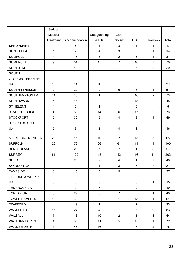|                             | Serious                 |                |                         |                         |                |                |       |
|-----------------------------|-------------------------|----------------|-------------------------|-------------------------|----------------|----------------|-------|
|                             | Medical                 |                | Safeguarding            | Care                    |                |                |       |
|                             | Treatment               | Accommodation  | adults                  | review                  | <b>DOLS</b>    | Unknown        | Total |
| <b>SHROPSHIRE</b>           |                         | $\sqrt{5}$     | $\overline{4}$          | 3                       | $\overline{4}$ | 1              | 17    |
| <b>SLOUGH UA</b>            | $\mathbf 1$             | $\overline{2}$ | $\overline{4}$          | 3                       | 3              | 1              | 14    |
| <b>SOLIHULL</b>             | $\overline{\mathbf{4}}$ | 16             | $\mathbf{3}$            | $\overline{2}$          | 5              | $\mathbf{1}$   | 31    |
| <b>SOMERSET</b>             | 9                       | 34             | 17                      | $\overline{7}$          | 10             | $\overline{2}$ | 79    |
| SOUTHEND                    | $\overline{2}$          | 12             | 9                       | $\mathbf{1}$            | 5              | $\mathbf 0$    | 29    |
| <b>SOUTH</b>                |                         |                |                         |                         |                |                |       |
| <b>GLOUCESTERSHIRE</b>      |                         |                |                         |                         |                |                |       |
| <b>UA</b>                   | 13                      | 11             | 4                       | $\mathbf{1}$            | 8              |                | 37    |
| SOUTH TYNESIDE              | $\overline{2}$          | 22             | $\boldsymbol{9}$        | 9                       | 8              | $\mathbf{1}$   | 51    |
| SOUTHAMPTON UA              | 21                      | 33             | $\mathbf{1}$            |                         | 16             | $\overline{2}$ | 73    |
| <b>SOUTHWARK</b>            | $\overline{4}$          | 17             | 9                       |                         | 15             |                | 45    |
| <b>ST HELENS</b>            | $\mathbf{1}$            | 3              | $\mathbf 1$             |                         | $\mathfrak{S}$ |                | 8     |
| <b>STAFFORDSHIRE</b>        | $\overline{\mathbf{4}}$ | 33             | 14                      | $6\phantom{a}$          | 17             | $\overline{2}$ | 76    |
| <b>STOCKPORT</b>            | 5                       | 32             | 5                       | $\overline{\mathbf{4}}$ | $\overline{2}$ | $\mathbf{1}$   | 49    |
| <b>STOCKTON ON TEES</b>     |                         |                |                         |                         |                |                |       |
| <b>UA</b>                   | 5                       | $\mathbf{3}$   | $\mathbf{3}$            | 4                       | 1              |                | 16    |
|                             |                         |                |                         |                         |                |                |       |
| STOKE-ON-TRENT UA           | 20                      | 15             | 10                      | $\overline{2}$          | 13             | 5              | 65    |
| <b>SUFFOLK</b>              | 22                      | 76             | 26                      | 51                      | 14             | 1              | 190   |
| SUNDERLAND                  | 6                       | 28             | $\overline{7}$          | $\overline{7}$          | $\mathbf{1}$   | 8              | 57    |
| <b>SURREY</b>               | 81                      | 129            | 13                      | 12                      | 16             | 11             | 262   |
| <b>SUTTON</b>               | 5                       | 28             | 9                       | $\overline{4}$          | 1              | $\overline{2}$ | 49    |
| SWINDON UA                  | $\mathbf 1$             | 14             | $\overline{\mathbf{4}}$ | $\mathbf{3}$            | $\overline{7}$ | $\overline{2}$ | 31    |
| <b>TAMESIDE</b>             | 8                       | 15             | 5                       | 9                       |                |                | 37    |
| <b>TELFORD &amp; WREKIN</b> |                         |                |                         |                         |                |                |       |
| <b>UA</b>                   | $\mathbf{3}$            | 5              | $\mathbf{3}$            |                         | $\mathbf{3}$   | $\mathbf{1}$   | 15    |
| THURROCK UA                 |                         | 9              | $\overline{7}$          | $\mathbf{1}$            | $\overline{2}$ |                | 19    |
| <b>TORBAY UA</b>            | 8                       | 27             | 6                       | $\overline{7}$          |                | $\mathbf{1}$   | 49    |
| <b>TOWER HAMLETS</b>        | 14                      | 33             | 2 <sup>1</sup>          | $\mathbf 1$             | 13             | $\mathbf{1}$   | 64    |
| <b>TRAFFORD</b>             |                         | 19             | $\mathbf{1}$            | $\mathbf{1}$            | $\overline{2}$ |                | 23    |
| <b>WAKEFIELD</b>            | 15                      | 24             | 28                      | $\mathbf{1}$            | 6              | 9              | 83    |
| <b>WALSALL</b>              | $\overline{7}$          | 18             | 10 <sup>°</sup>         | $\overline{2}$          | 3              | $\overline{4}$ | 44    |
| <b>WALTHAM FOREST</b>       | $\overline{4}$          | 36             | 11                      | 5                       | 15             | $\mathbf{1}$   | 72    |
| <b>WANDSWORTH</b>           | 3 <sup>1</sup>          | 46             | 16                      | $\mathbf{1}$            | $\overline{7}$ | 2 <sup>1</sup> | 75    |